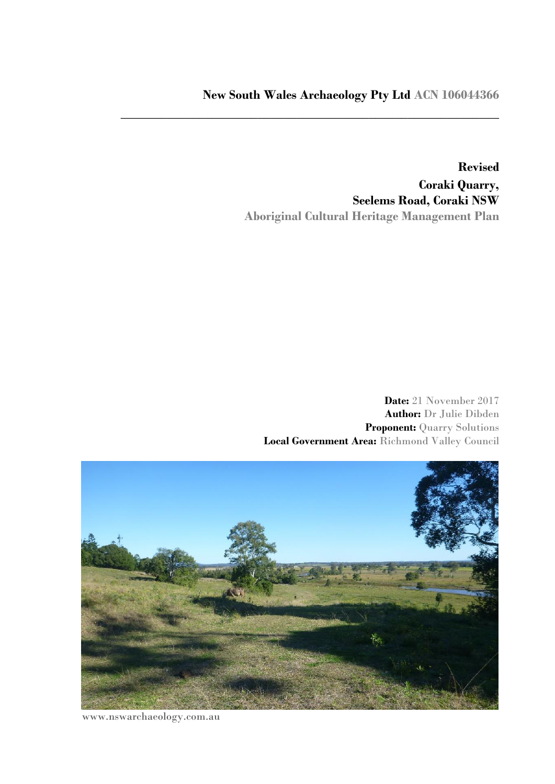## **New South Wales Archaeology Pty Ltd ACN 106044366**

**\_\_\_\_\_\_\_\_\_\_\_\_\_\_\_\_\_\_\_\_\_\_\_\_\_\_\_\_\_\_\_\_\_\_\_\_\_\_\_\_\_\_\_\_\_\_\_\_\_\_\_\_\_\_\_\_\_\_**

**Revised Coraki Quarry, Seelems Road, Coraki NSW Aboriginal Cultural Heritage Management Plan**

**Date:** 21 November 2017 **Author:** Dr Julie Dibden **Proponent:** Quarry Solutions **Local Government Area:** Richmond Valley Council



www.nswarchaeology.com.au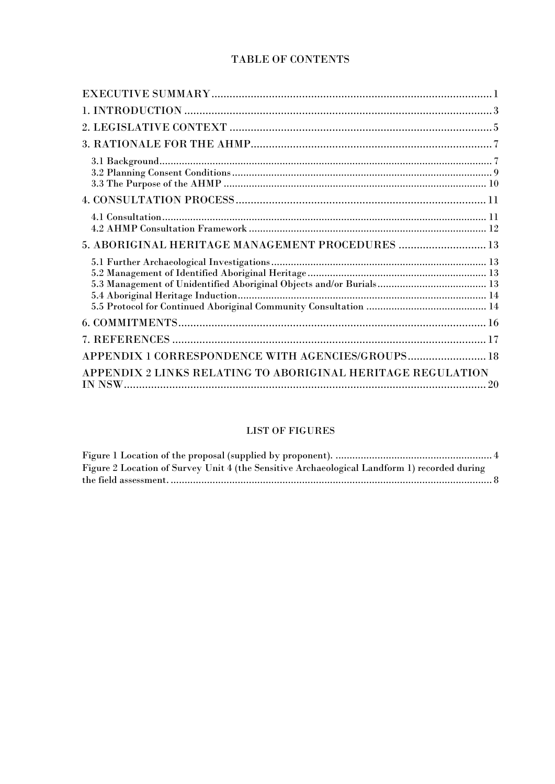# **TABLE OF CONTENTS**

| 5. ABORIGINAL HERITAGE MANAGEMENT PROCEDURES  13<br>APPENDIX 1 CORRESPONDENCE WITH AGENCIES/GROUPS 18<br>APPENDIX 2 LINKS RELATING TO ABORIGINAL HERITAGE REGULATION |  |
|----------------------------------------------------------------------------------------------------------------------------------------------------------------------|--|
|                                                                                                                                                                      |  |
|                                                                                                                                                                      |  |
|                                                                                                                                                                      |  |
|                                                                                                                                                                      |  |
|                                                                                                                                                                      |  |
|                                                                                                                                                                      |  |
|                                                                                                                                                                      |  |
|                                                                                                                                                                      |  |
|                                                                                                                                                                      |  |
|                                                                                                                                                                      |  |
|                                                                                                                                                                      |  |
|                                                                                                                                                                      |  |

### **LIST OF FIGURES**

| Figure 2 Location of Survey Unit 4 (the Sensitive Archaeological Landform 1) recorded during |  |
|----------------------------------------------------------------------------------------------|--|
|                                                                                              |  |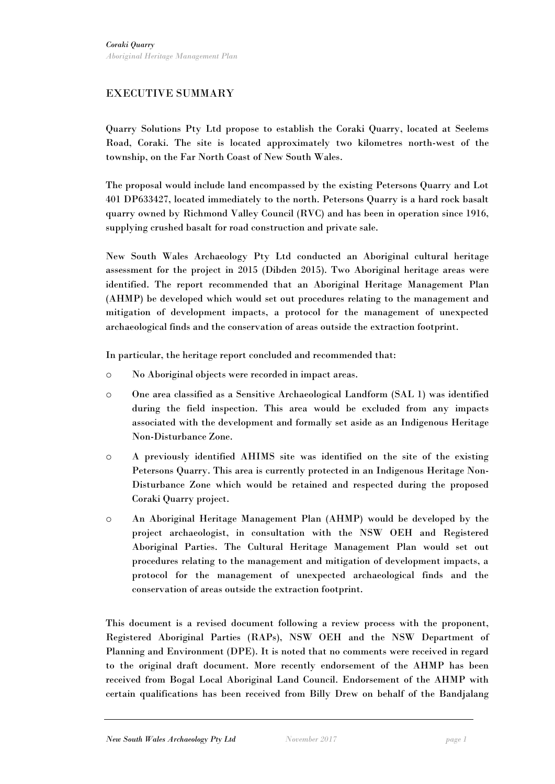### EXECUTIVE SUMMARY

Quarry Solutions Pty Ltd propose to establish the Coraki Quarry, located at Seelems Road, Coraki. The site is located approximately two kilometres north-west of the township, on the Far North Coast of New South Wales.

The proposal would include land encompassed by the existing Petersons Quarry and Lot 401 DP633427, located immediately to the north. Petersons Quarry is a hard rock basalt quarry owned by Richmond Valley Council (RVC) and has been in operation since 1916, supplying crushed basalt for road construction and private sale.

New South Wales Archaeology Pty Ltd conducted an Aboriginal cultural heritage assessment for the project in 2015 (Dibden 2015). Two Aboriginal heritage areas were identified. The report recommended that an Aboriginal Heritage Management Plan (AHMP) be developed which would set out procedures relating to the management and mitigation of development impacts, a protocol for the management of unexpected archaeological finds and the conservation of areas outside the extraction footprint.

In particular, the heritage report concluded and recommended that:

- o No Aboriginal objects were recorded in impact areas.
- o One area classified as a Sensitive Archaeological Landform (SAL 1) was identified during the field inspection. This area would be excluded from any impacts associated with the development and formally set aside as an Indigenous Heritage Non-Disturbance Zone.
- o A previously identified AHIMS site was identified on the site of the existing Petersons Quarry. This area is currently protected in an Indigenous Heritage Non-Disturbance Zone which would be retained and respected during the proposed Coraki Quarry project.
- o An Aboriginal Heritage Management Plan (AHMP) would be developed by the project archaeologist, in consultation with the NSW OEH and Registered Aboriginal Parties. The Cultural Heritage Management Plan would set out procedures relating to the management and mitigation of development impacts, a protocol for the management of unexpected archaeological finds and the conservation of areas outside the extraction footprint.

This document is a revised document following a review process with the proponent, Registered Aboriginal Parties (RAPs), NSW OEH and the NSW Department of Planning and Environment (DPE). It is noted that no comments were received in regard to the original draft document. More recently endorsement of the AHMP has been received from Bogal Local Aboriginal Land Council. Endorsement of the AHMP with certain qualifications has been received from Billy Drew on behalf of the Bandjalang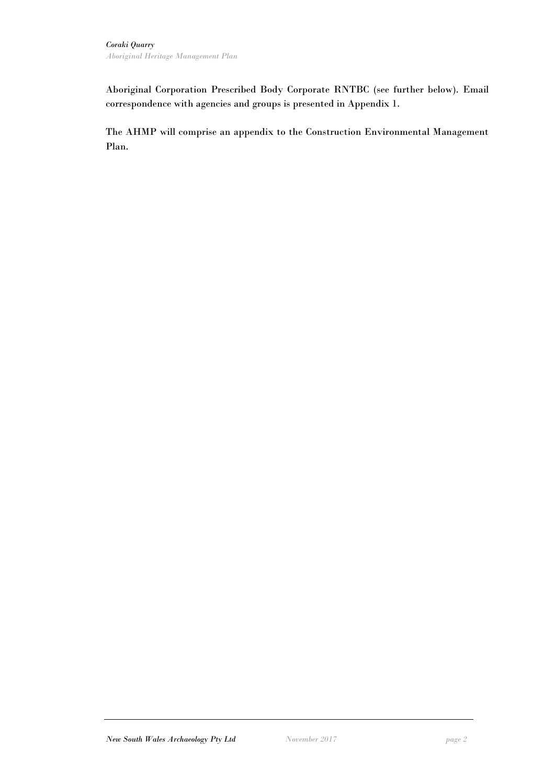Aboriginal Corporation Prescribed Body Corporate RNTBC (see further below). Email correspondence with agencies and groups is presented in Appendix 1.

The AHMP will comprise an appendix to the Construction Environmental Management Plan.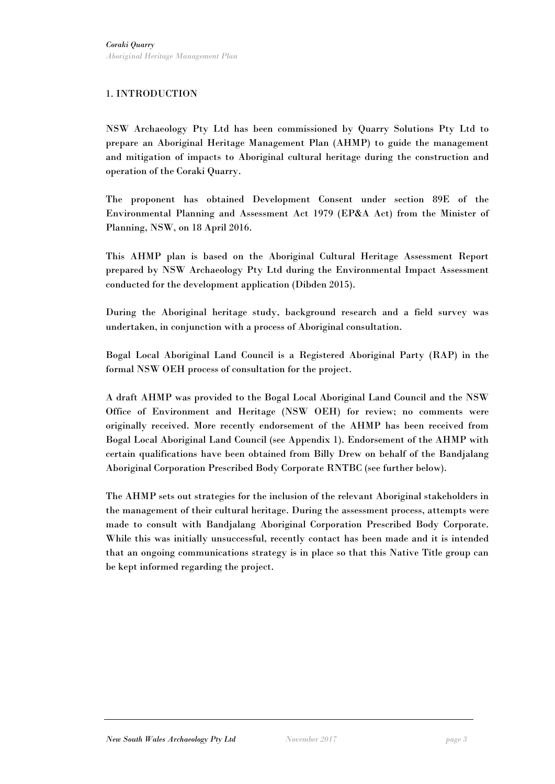### 1. INTRODUCTION

NSW Archaeology Pty Ltd has been commissioned by Quarry Solutions Pty Ltd to prepare an Aboriginal Heritage Management Plan (AHMP) to guide the management and mitigation of impacts to Aboriginal cultural heritage during the construction and operation of the Coraki Quarry.

The proponent has obtained Development Consent under section 89E of the Environmental Planning and Assessment Act 1979 (EP&A Act) from the Minister of Planning, NSW, on 18 April 2016.

This AHMP plan is based on the Aboriginal Cultural Heritage Assessment Report prepared by NSW Archaeology Pty Ltd during the Environmental Impact Assessment conducted for the development application (Dibden 2015).

During the Aboriginal heritage study, background research and a field survey was undertaken, in conjunction with a process of Aboriginal consultation.

Bogal Local Aboriginal Land Council is a Registered Aboriginal Party (RAP) in the formal NSW OEH process of consultation for the project.

A draft AHMP was provided to the Bogal Local Aboriginal Land Council and the NSW Office of Environment and Heritage (NSW OEH) for review; no comments were originally received. More recently endorsement of the AHMP has been received from Bogal Local Aboriginal Land Council (see Appendix 1). Endorsement of the AHMP with certain qualifications have been obtained from Billy Drew on behalf of the Bandjalang Aboriginal Corporation Prescribed Body Corporate RNTBC (see further below).

The AHMP sets out strategies for the inclusion of the relevant Aboriginal stakeholders in the management of their cultural heritage. During the assessment process, attempts were made to consult with Bandjalang Aboriginal Corporation Prescribed Body Corporate. While this was initially unsuccessful, recently contact has been made and it is intended that an ongoing communications strategy is in place so that this Native Title group can be kept informed regarding the project.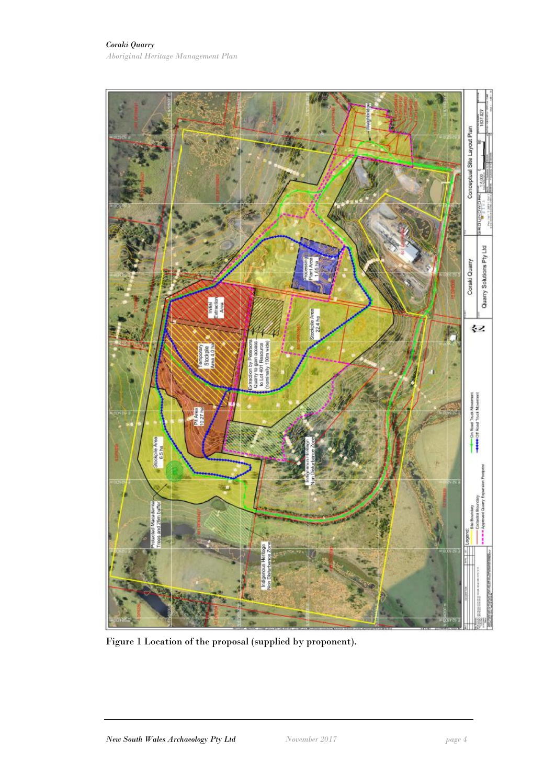

<span id="page-5-0"></span>Figure 1 Location of the proposal (supplied by proponent).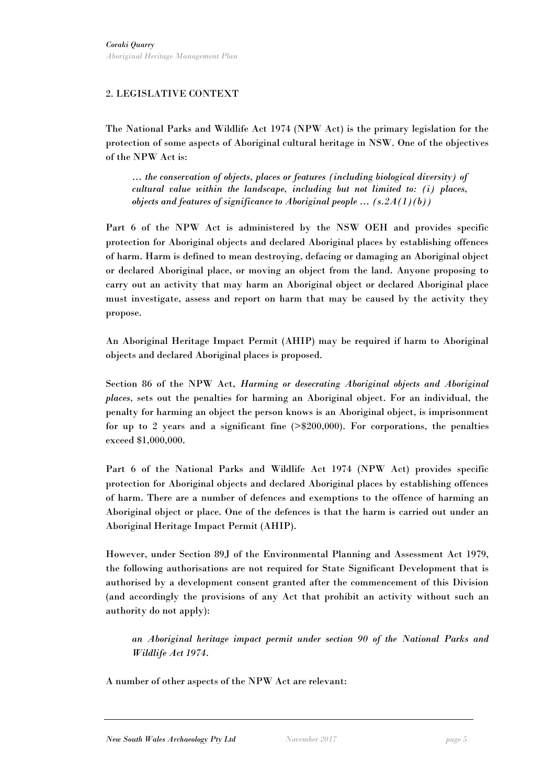### 2. LEGISLATIVE CONTEXT

The National Parks and Wildlife Act 1974 (NPW Act) is the primary legislation for the protection of some aspects of Aboriginal cultural heritage in NSW. One of the objectives of the NPW Act is:

*… the conservation of objects, places or features (including biological diversity) of cultural value within the landscape, including but not limited to: (i) places, objects and features of significance to Aboriginal people … (s.2A(1)(b))*

Part 6 of the NPW Act is administered by the NSW OEH and provides specific protection for Aboriginal objects and declared Aboriginal places by establishing offences of harm. Harm is defined to mean destroying, defacing or damaging an Aboriginal object or declared Aboriginal place, or moving an object from the land. Anyone proposing to carry out an activity that may harm an Aboriginal object or declared Aboriginal place must investigate, assess and report on harm that may be caused by the activity they propose.

An Aboriginal Heritage Impact Permit (AHIP) may be required if harm to Aboriginal objects and declared Aboriginal places is proposed.

Section 86 of the NPW Act, *Harming or desecrating Aboriginal objects and Aboriginal places,* sets out the penalties for harming an Aboriginal object. For an individual, the penalty for harming an object the person knows is an Aboriginal object, is imprisonment for up to 2 years and a significant fine  $(>\$200,000)$ . For corporations, the penalties exceed \$1,000,000.

Part 6 of the National Parks and Wildlife Act 1974 (NPW Act) provides specific protection for Aboriginal objects and declared Aboriginal places by establishing offences of harm. There are a number of defences and exemptions to the offence of harming an Aboriginal object or place. One of the defences is that the harm is carried out under an Aboriginal Heritage Impact Permit (AHIP).

However, under Section 89J of the Environmental Planning and Assessment Act 1979, the following authorisations are not required for State Significant Development that is authorised by a development consent granted after the commencement of this Division (and accordingly the provisions of any Act that prohibit an activity without such an authority do not apply):

*an Aboriginal heritage impact permit under section 90 of the [National Parks and](http://www.legislation.nsw.gov.au/xref/inforce/?xref=Type%3Dact%20AND%20Year%3D1974%20AND%20no%3D80&nohits=y)  [Wildlife Act 1974](http://www.legislation.nsw.gov.au/xref/inforce/?xref=Type%3Dact%20AND%20Year%3D1974%20AND%20no%3D80&nohits=y)*.

A number of other aspects of the NPW Act are relevant: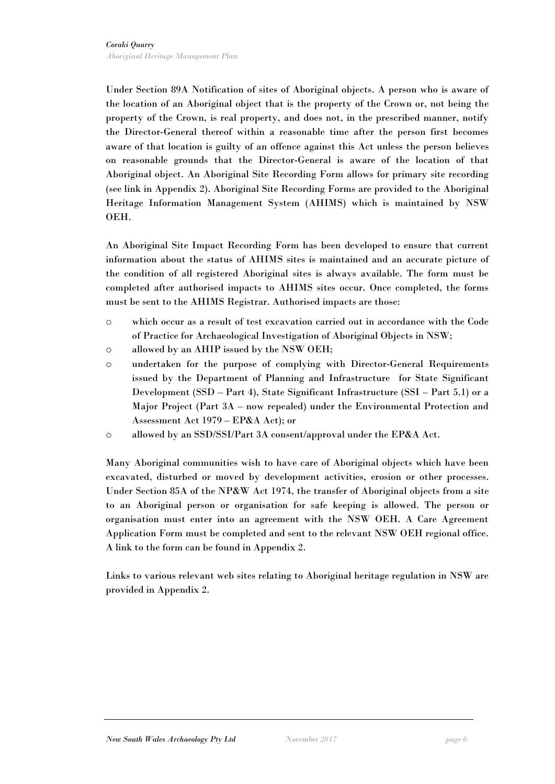Under Section 89A Notification of sites of Aboriginal objects. A person who is aware of the location of an Aboriginal object that is the property of the Crown or, not being the property of the Crown, is real property, and does not, in the prescribed manner, notify the Director-General thereof within a reasonable time after the person first becomes aware of that location is guilty of an offence against this Act unless the person believes on reasonable grounds that the Director-General is aware of the location of that Aboriginal object. An Aboriginal Site Recording Form allows for primary site recording (see link in Appendix 2). Aboriginal Site Recording Forms are provided to the Aboriginal Heritage Information Management System (AHIMS) which is maintained by NSW OEH.

An Aboriginal Site Impact Recording Form has been developed to ensure that current information about the status of AHIMS sites is maintained and an accurate picture of the condition of all registered Aboriginal sites is always available. The form must be completed after authorised impacts to AHIMS sites occur. Once completed, the forms must be sent to the AHIMS Registrar. Authorised impacts are those:

- o which occur as a result of test excavation carried out in accordance with the Code of Practice for Archaeological Investigation of Aboriginal Objects in NSW;
- o allowed by an AHIP issued by the NSW OEH;
- o undertaken for the purpose of complying with Director-General Requirements issued by the Department of Planning and Infrastructure for State Significant Development (SSD – Part 4), State Significant Infrastructure (SSI – Part 5.1) or a Major Project (Part 3A – now repealed) under the Environmental Protection and Assessment Act 1979 – EP&A Act); or
- o allowed by an SSD/SSI/Part 3A consent/approval under the EP&A Act.

Many Aboriginal communities wish to have care of Aboriginal objects which have been excavated, disturbed or moved by development activities, erosion or other processes. Under Section 85A of the NP&W Act 1974, the transfer of Aboriginal objects from a site to an Aboriginal person or organisation for safe keeping is allowed. The person or organisation must enter into an agreement with the NSW OEH. A Care Agreement Application Form must be completed and sent to the relevant NSW OEH regional office. A link to the form can be found in Appendix 2.

Links to various relevant web sites relating to Aboriginal heritage regulation in NSW are provided in Appendix 2.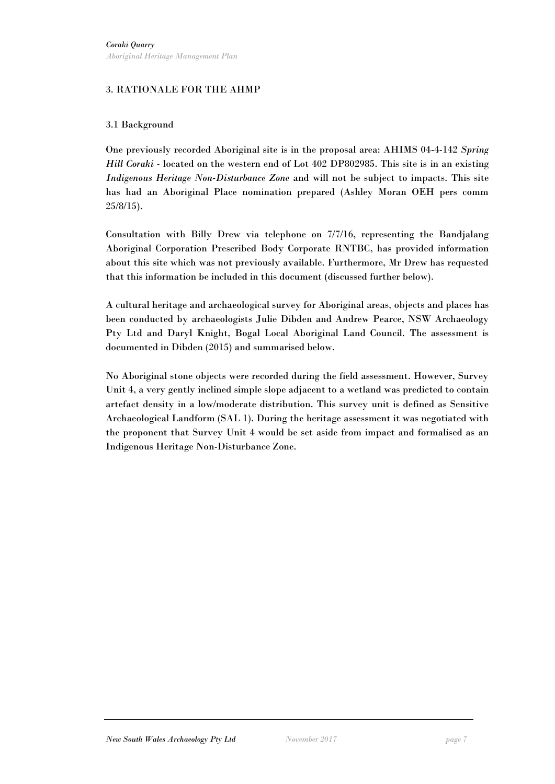### 3. RATIONALE FOR THE AHMP

#### 3.1 Background

One previously recorded Aboriginal site is in the proposal area: AHIMS 04-4-142 *Spring Hill Coraki* - located on the western end of Lot 402 DP802985. This site is in an existing *Indigenous Heritage Non-Disturbance Zone* and will not be subject to impacts. This site has had an Aboriginal Place nomination prepared (Ashley Moran OEH pers comm 25/8/15).

Consultation with Billy Drew via telephone on 7/7/16, representing the Bandjalang Aboriginal Corporation Prescribed Body Corporate RNTBC, has provided information about this site which was not previously available. Furthermore, Mr Drew has requested that this information be included in this document (discussed further below).

A cultural heritage and archaeological survey for Aboriginal areas, objects and places has been conducted by archaeologists Julie Dibden and Andrew Pearce, NSW Archaeology Pty Ltd and Daryl Knight, Bogal Local Aboriginal Land Council. The assessment is documented in Dibden (2015) and summarised below.

No Aboriginal stone objects were recorded during the field assessment. However, Survey Unit 4, a very gently inclined simple slope adjacent to a wetland was predicted to contain artefact density in a low/moderate distribution. This survey unit is defined as Sensitive Archaeological Landform (SAL 1). During the heritage assessment it was negotiated with the proponent that Survey Unit 4 would be set aside from impact and formalised as an Indigenous Heritage Non-Disturbance Zone.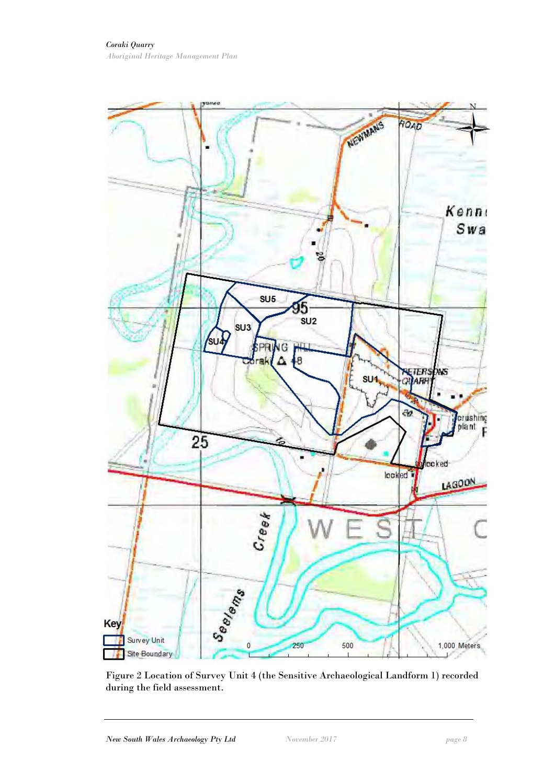

<span id="page-9-0"></span>Figure 2 Location of Survey Unit 4 (the Sensitive Archaeological Landform 1) recorded during the field assessment.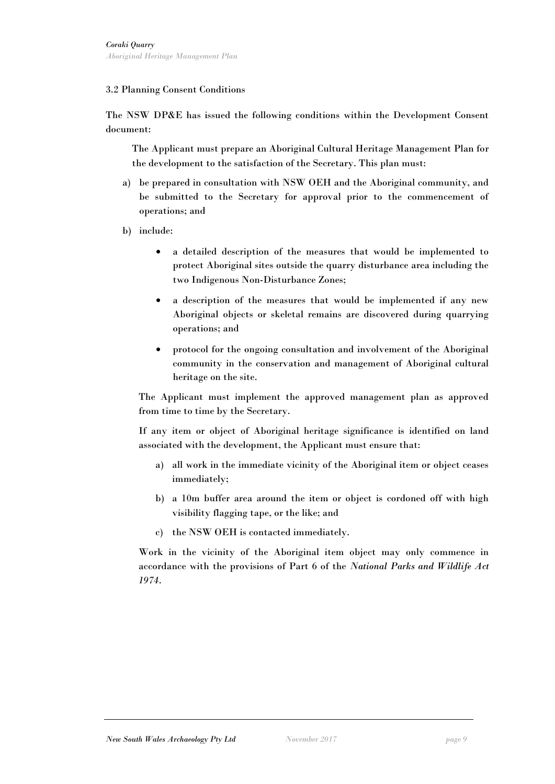#### 3.2 Planning Consent Conditions

The NSW DP&E has issued the following conditions within the Development Consent document:

The Applicant must prepare an Aboriginal Cultural Heritage Management Plan for the development to the satisfaction of the Secretary. This plan must:

- a) be prepared in consultation with NSW OEH and the Aboriginal community, and be submitted to the Secretary for approval prior to the commencement of operations; and
- b) include:
	- a detailed description of the measures that would be implemented to protect Aboriginal sites outside the quarry disturbance area including the two Indigenous Non-Disturbance Zones;
	- a description of the measures that would be implemented if any new Aboriginal objects or skeletal remains are discovered during quarrying operations; and
	- protocol for the ongoing consultation and involvement of the Aboriginal community in the conservation and management of Aboriginal cultural heritage on the site.

The Applicant must implement the approved management plan as approved from time to time by the Secretary.

If any item or object of Aboriginal heritage significance is identified on land associated with the development, the Applicant must ensure that:

- a) all work in the immediate vicinity of the Aboriginal item or object ceases immediately;
- b) a 10m buffer area around the item or object is cordoned off with high visibility flagging tape, or the like; and
- c) the NSW OEH is contacted immediately.

Work in the vicinity of the Aboriginal item object may only commence in accordance with the provisions of Part 6 of the *National Parks and Wildlife Act 1974*.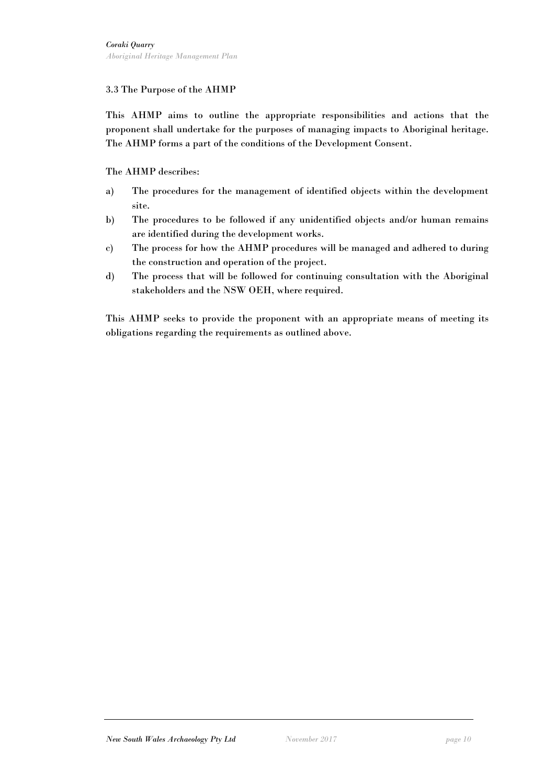#### 3.3 The Purpose of the AHMP

This AHMP aims to outline the appropriate responsibilities and actions that the proponent shall undertake for the purposes of managing impacts to Aboriginal heritage. The AHMP forms a part of the conditions of the Development Consent.

#### The AHMP describes:

- a) The procedures for the management of identified objects within the development site.
- b) The procedures to be followed if any unidentified objects and/or human remains are identified during the development works.
- c) The process for how the AHMP procedures will be managed and adhered to during the construction and operation of the project.
- d) The process that will be followed for continuing consultation with the Aboriginal stakeholders and the NSW OEH, where required.

This AHMP seeks to provide the proponent with an appropriate means of meeting its obligations regarding the requirements as outlined above.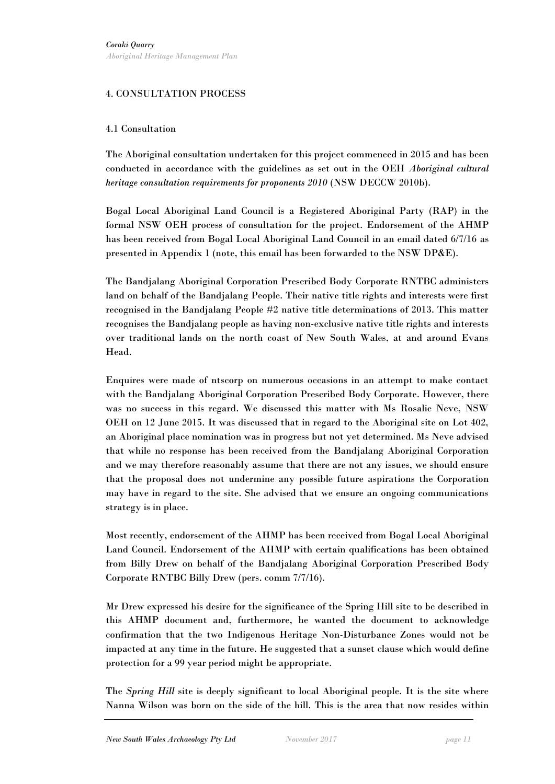### 4. CONSULTATION PROCESS

#### 4.1 Consultation

The Aboriginal consultation undertaken for this project commenced in 2015 and has been conducted in accordance with the guidelines as set out in the OEH *Aboriginal cultural heritage consultation requirements for proponents 2010* (NSW DECCW 2010b).

Bogal Local Aboriginal Land Council is a Registered Aboriginal Party (RAP) in the formal NSW OEH process of consultation for the project. Endorsement of the AHMP has been received from Bogal Local Aboriginal Land Council in an email dated 6/7/16 as presented in Appendix 1 (note, this email has been forwarded to the NSW DP&E).

The Bandjalang Aboriginal Corporation Prescribed Body Corporate RNTBC administers land on behalf of the Bandjalang People. Their native title rights and interests were first recognised in the Bandjalang People #2 native title determinations of 2013. This matter recognises the Bandjalang people as having non-exclusive native title rights and interests over traditional lands on the north coast of New South Wales, at and around Evans Head.

Enquires were made of ntscorp on numerous occasions in an attempt to make contact with the Bandjalang Aboriginal Corporation Prescribed Body Corporate. However, there was no success in this regard. We discussed this matter with Ms Rosalie Neve, NSW OEH on 12 June 2015. It was discussed that in regard to the Aboriginal site on Lot 402, an Aboriginal place nomination was in progress but not yet determined. Ms Neve advised that while no response has been received from the Bandjalang Aboriginal Corporation and we may therefore reasonably assume that there are not any issues, we should ensure that the proposal does not undermine any possible future aspirations the Corporation may have in regard to the site. She advised that we ensure an ongoing communications strategy is in place.

Most recently, endorsement of the AHMP has been received from Bogal Local Aboriginal Land Council. Endorsement of the AHMP with certain qualifications has been obtained from Billy Drew on behalf of the Bandjalang Aboriginal Corporation Prescribed Body Corporate RNTBC Billy Drew (pers. comm 7/7/16).

Mr Drew expressed his desire for the significance of the Spring Hill site to be described in this AHMP document and, furthermore, he wanted the document to acknowledge confirmation that the two Indigenous Heritage Non-Disturbance Zones would not be impacted at any time in the future. He suggested that a sunset clause which would define protection for a 99 year period might be appropriate.

The *Spring Hill* site is deeply significant to local Aboriginal people. It is the site where Nanna Wilson was born on the side of the hill. This is the area that now resides within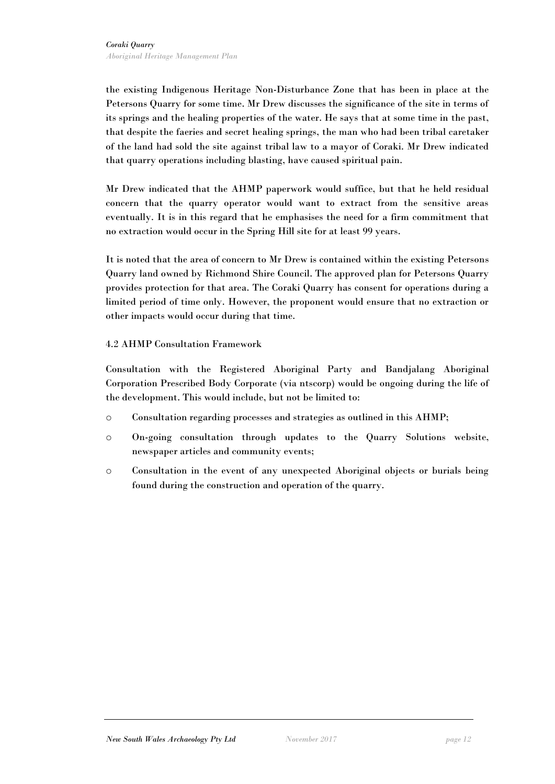the existing Indigenous Heritage Non-Disturbance Zone that has been in place at the Petersons Quarry for some time. Mr Drew discusses the significance of the site in terms of its springs and the healing properties of the water. He says that at some time in the past, that despite the faeries and secret healing springs, the man who had been tribal caretaker of the land had sold the site against tribal law to a mayor of Coraki. Mr Drew indicated that quarry operations including blasting, have caused spiritual pain.

Mr Drew indicated that the AHMP paperwork would suffice, but that he held residual concern that the quarry operator would want to extract from the sensitive areas eventually. It is in this regard that he emphasises the need for a firm commitment that no extraction would occur in the Spring Hill site for at least 99 years.

It is noted that the area of concern to Mr Drew is contained within the existing Petersons Quarry land owned by Richmond Shire Council. The approved plan for Petersons Quarry provides protection for that area. The Coraki Quarry has consent for operations during a limited period of time only. However, the proponent would ensure that no extraction or other impacts would occur during that time.

### 4.2 AHMP Consultation Framework

Consultation with the Registered Aboriginal Party and Bandjalang Aboriginal Corporation Prescribed Body Corporate (via ntscorp) would be ongoing during the life of the development. This would include, but not be limited to:

- o Consultation regarding processes and strategies as outlined in this AHMP;
- o On-going consultation through updates to the Quarry Solutions website, newspaper articles and community events;
- o Consultation in the event of any unexpected Aboriginal objects or burials being found during the construction and operation of the quarry.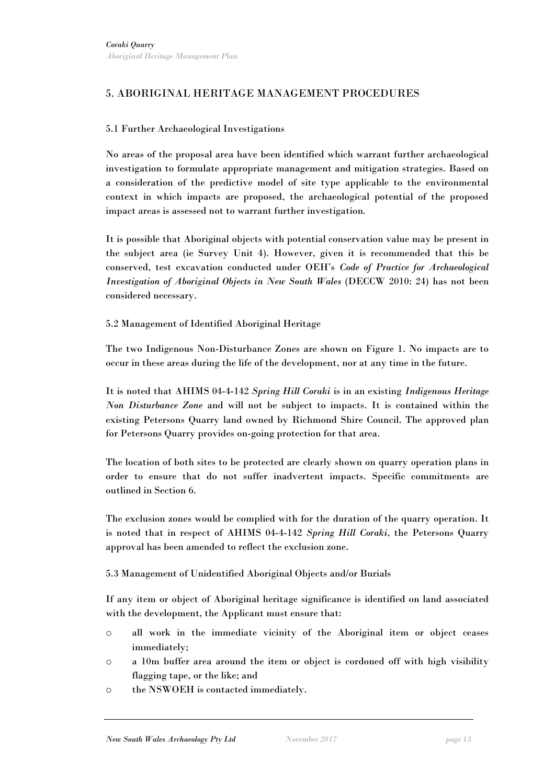### 5. ABORIGINAL HERITAGE MANAGEMENT PROCEDURES

#### 5.1 Further Archaeological Investigations

No areas of the proposal area have been identified which warrant further archaeological investigation to formulate appropriate management and mitigation strategies. Based on a consideration of the predictive model of site type applicable to the environmental context in which impacts are proposed, the archaeological potential of the proposed impact areas is assessed not to warrant further investigation.

It is possible that Aboriginal objects with potential conservation value may be present in the subject area (ie Survey Unit 4). However, given it is recommended that this be conserved, test excavation conducted under OEH's *Code of Practice for Archaeological Investigation of Aboriginal Objects in New South Wales (DECCW 2010: 24)* has not been considered necessary.

5.2 Management of Identified Aboriginal Heritage

The two Indigenous Non-Disturbance Zones are shown on Figure 1. No impacts are to occur in these areas during the life of the development, nor at any time in the future.

It is noted that AHIMS 04-4-142 *Spring Hill Coraki* is in an existing *Indigenous Heritage Non Disturbance Zone* and will not be subject to impacts. It is contained within the existing Petersons Quarry land owned by Richmond Shire Council. The approved plan for Petersons Quarry provides on-going protection for that area.

The location of both sites to be protected are clearly shown on quarry operation plans in order to ensure that do not suffer inadvertent impacts. Specific commitments are outlined in Section 6.

The exclusion zones would be complied with for the duration of the quarry operation. It is noted that in respect of AHIMS 04-4-142 *Spring Hill Coraki,* the Petersons Quarry approval has been amended to reflect the exclusion zone.

5.3 Management of Unidentified Aboriginal Objects and/or Burials

If any item or object of Aboriginal heritage significance is identified on land associated with the development, the Applicant must ensure that:

- o all work in the immediate vicinity of the Aboriginal item or object ceases immediately;
- o a 10m buffer area around the item or object is cordoned off with high visibility flagging tape, or the like; and
- o the NSWOEH is contacted immediately.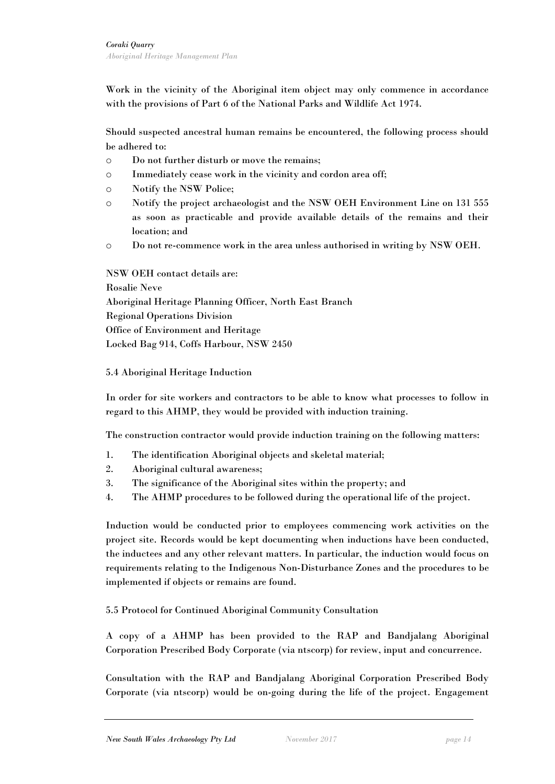Work in the vicinity of the Aboriginal item object may only commence in accordance with the provisions of Part 6 of the National Parks and Wildlife Act 1974.

Should suspected ancestral human remains be encountered, the following process should be adhered to:

- o Do not further disturb or move the remains;
- o Immediately cease work in the vicinity and cordon area off;
- o Notify the NSW Police;
- o Notify the project archaeologist and the NSW OEH Environment Line on 131 555 as soon as practicable and provide available details of the remains and their location; and
- o Do not re-commence work in the area unless authorised in writing by NSW OEH.

NSW OEH contact details are: Rosalie Neve Aboriginal Heritage Planning Officer, North East Branch Regional Operations Division Office of Environment and Heritage Locked Bag 914, Coffs Harbour, NSW 2450

#### 5.4 Aboriginal Heritage Induction

In order for site workers and contractors to be able to know what processes to follow in regard to this AHMP, they would be provided with induction training.

The construction contractor would provide induction training on the following matters:

- 1. The identification Aboriginal objects and skeletal material;
- 2. Aboriginal cultural awareness;
- 3. The significance of the Aboriginal sites within the property; and
- 4. The AHMP procedures to be followed during the operational life of the project.

Induction would be conducted prior to employees commencing work activities on the project site. Records would be kept documenting when inductions have been conducted, the inductees and any other relevant matters. In particular, the induction would focus on requirements relating to the Indigenous Non-Disturbance Zones and the procedures to be implemented if objects or remains are found.

5.5 Protocol for Continued Aboriginal Community Consultation

A copy of a AHMP has been provided to the RAP and Bandjalang Aboriginal Corporation Prescribed Body Corporate (via ntscorp) for review, input and concurrence.

Consultation with the RAP and Bandjalang Aboriginal Corporation Prescribed Body Corporate (via ntscorp) would be on-going during the life of the project. Engagement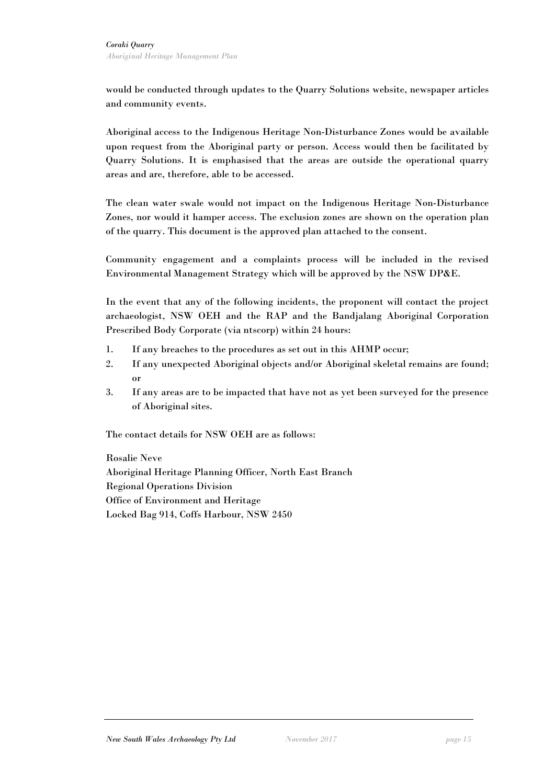would be conducted through updates to the Quarry Solutions website, newspaper articles and community events.

Aboriginal access to the Indigenous Heritage Non-Disturbance Zones would be available upon request from the Aboriginal party or person. Access would then be facilitated by Quarry Solutions. It is emphasised that the areas are outside the operational quarry areas and are, therefore, able to be accessed.

The clean water swale would not impact on the Indigenous Heritage Non-Disturbance Zones, nor would it hamper access. The exclusion zones are shown on the operation plan of the quarry. This document is the approved plan attached to the consent.

Community engagement and a complaints process will be included in the revised Environmental Management Strategy which will be approved by the NSW DP&E.

In the event that any of the following incidents, the proponent will contact the project archaeologist, NSW OEH and the RAP and the Bandjalang Aboriginal Corporation Prescribed Body Corporate (via ntscorp) within 24 hours:

- 1. If any breaches to the procedures as set out in this AHMP occur;
- 2. If any unexpected Aboriginal objects and/or Aboriginal skeletal remains are found; or
- 3. If any areas are to be impacted that have not as yet been surveyed for the presence of Aboriginal sites.

The contact details for NSW OEH are as follows:

Rosalie Neve Aboriginal Heritage Planning Officer, North East Branch Regional Operations Division Office of Environment and Heritage Locked Bag 914, Coffs Harbour, NSW 2450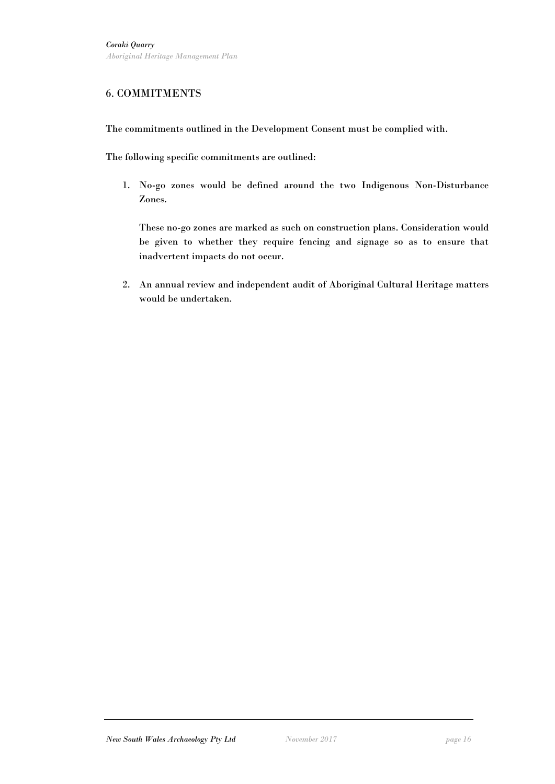### 6. COMMITMENTS

The commitments outlined in the Development Consent must be complied with.

The following specific commitments are outlined:

1. No-go zones would be defined around the two Indigenous Non-Disturbance Zones.

These no-go zones are marked as such on construction plans. Consideration would be given to whether they require fencing and signage so as to ensure that inadvertent impacts do not occur.

2. An annual review and independent audit of Aboriginal Cultural Heritage matters would be undertaken.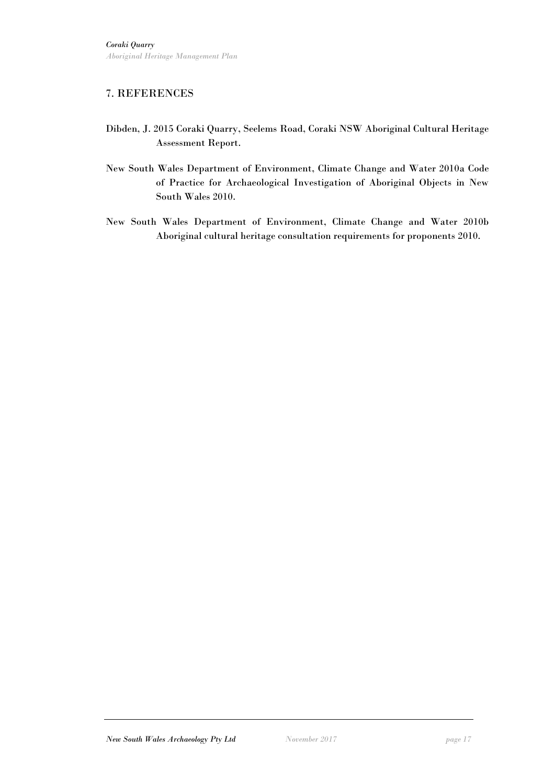### 7. REFERENCES

- Dibden, J. 2015 Coraki Quarry, Seelems Road, Coraki NSW Aboriginal Cultural Heritage Assessment Report.
- New South Wales Department of Environment, Climate Change and Water 2010a Code of Practice for Archaeological Investigation of Aboriginal Objects in New South Wales 2010.
- New South Wales Department of Environment, Climate Change and Water 2010b Aboriginal cultural heritage consultation requirements for proponents 2010.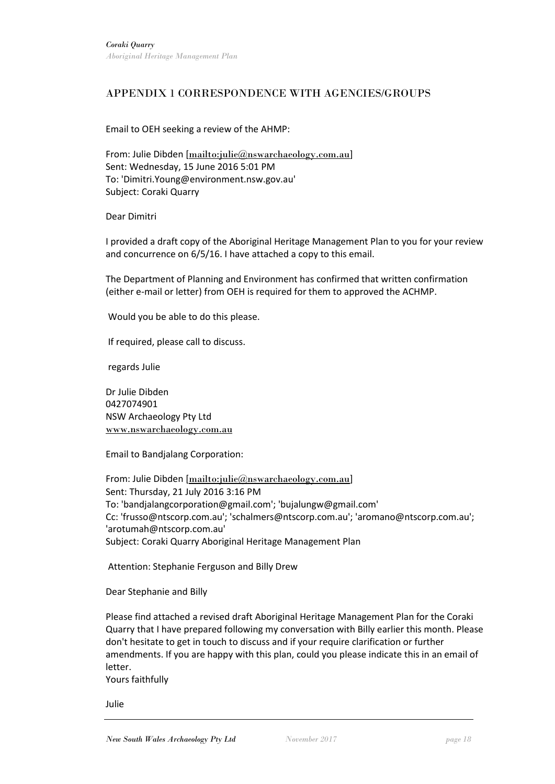### APPENDIX 1 CORRESPONDENCE WITH AGENCIES/GROUPS

Email to OEH seeking a review of the AHMP:

From: Julie Dibden [<mailto:julie@nswarchaeology.com.au>] Sent: Wednesday, 15 June 2016 5:01 PM To: 'Dimitri.Young@environment.nsw.gov.au' Subject: Coraki Quarry

Dear Dimitri

I provided a draft copy of the Aboriginal Heritage Management Plan to you for your review and concurrence on 6/5/16. I have attached a copy to this email.

The Department of Planning and Environment has confirmed that written confirmation (either e-mail or letter) from OEH is required for them to approved the ACHMP.

Would you be able to do this please.

If required, please call to discuss.

regards Julie

Dr Julie Dibden 0427074901 NSW Archaeology Pty Ltd [www.nswarchaeology.com.au](http://www.nswarchaeology.com.au/)

Email to Bandjalang Corporation:

From: Julie Dibden [<mailto:julie@nswarchaeology.com.au>] Sent: Thursday, 21 July 2016 3:16 PM To: 'bandjalangcorporation@gmail.com'; 'bujalungw@gmail.com' Cc: 'frusso@ntscorp.com.au'; 'schalmers@ntscorp.com.au'; 'aromano@ntscorp.com.au'; 'arotumah@ntscorp.com.au' Subject: Coraki Quarry Aboriginal Heritage Management Plan

Attention: Stephanie Ferguson and Billy Drew

Dear Stephanie and Billy

Please find attached a revised draft Aboriginal Heritage Management Plan for the Coraki Quarry that I have prepared following my conversation with Billy earlier this month. Please don't hesitate to get in touch to discuss and if your require clarification or further amendments. If you are happy with this plan, could you please indicate this in an email of letter.

Yours faithfully

Julie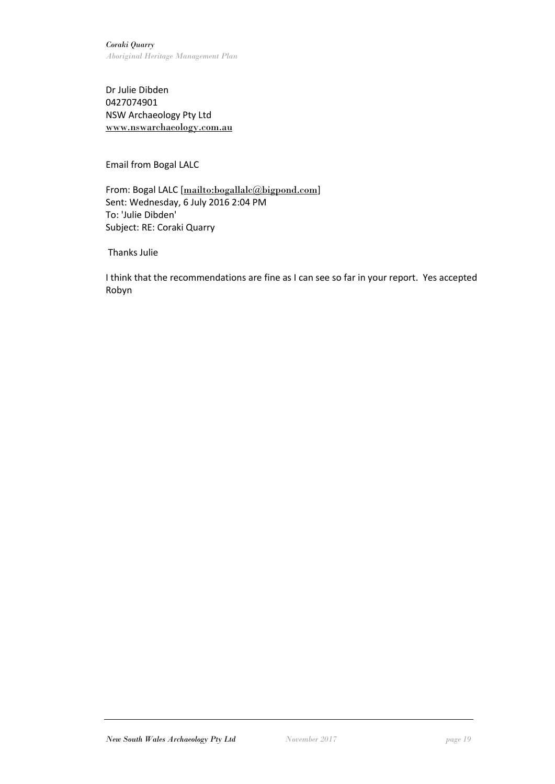Dr Julie Dibden 0427074901 NSW Archaeology Pty Ltd [www.nswarchaeology.com.au](http://www.nswarchaeology.com.au/)

Email from Bogal LALC

From: Bogal LALC [<mailto:bogallalc@bigpond.com>] Sent: Wednesday, 6 July 2016 2:04 PM To: 'Julie Dibden' Subject: RE: Coraki Quarry

Thanks Julie

I think that the recommendations are fine as I can see so far in your report. Yes accepted Robyn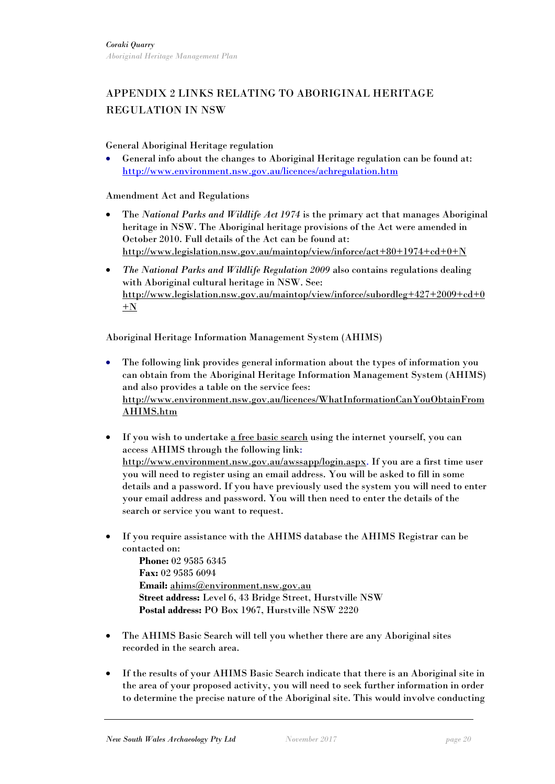# APPENDIX 2 LINKS RELATING TO ABORIGINAL HERITAGE REGULATION IN NSW

### General Aboriginal Heritage regulation

• General info about the changes to Aboriginal Heritage regulation can be found at: <http://www.environment.nsw.gov.au/licences/achregulation.htm>

#### Amendment Act and Regulations

- The *National Parks and Wildlife Act 1974* is the primary act that manages Aboriginal heritage in NSW. The Aboriginal heritage provisions of the Act were amended in October 2010. Full details of the Act can be found at: <http://www.legislation.nsw.gov.au/maintop/view/inforce/act+80+1974+cd+0+N>
- *The National Parks and Wildlife Regulation 2009* also contains regulations dealing with Aboriginal cultural heritage in NSW. See: [http://www.legislation.nsw.gov.au/maintop/view/inforce/subordleg+427+2009+cd+0](http://www.legislation.nsw.gov.au/maintop/view/inforce/subordleg+427+2009+cd+0+N)  $+N$

#### Aboriginal Heritage Information Management System (AHIMS)

- The following link provides general information about the types of information you can obtain from the Aboriginal Heritage Information Management System (AHIMS) and also provides a table on the service fees: [http://www.environment.nsw.gov.au/licences/WhatInformationCanYouObtainFrom](http://www.environment.nsw.gov.au/licences/WhatInformationCanYouObtainFromAHIMS.htm) [AHIMS.htm](http://www.environment.nsw.gov.au/licences/WhatInformationCanYouObtainFromAHIMS.htm)
- If you wish to undertake a free basic search using the internet yourself, you can access AHIMS through the following link: [http://www.environment.nsw.gov.au/awssapp/login.aspx.](http://www.environment.nsw.gov.au/awssapp/login.aspx) If you are a first time user you will need to register using an email address. You will be asked to fill in some details and a password. If you have previously used the system you will need to enter your email address and password. You will then need to enter the details of the search or service you want to request.
- If you require assistance with the AHIMS database the AHIMS Registrar can be contacted on:

**Phone:** 02 9585 6345 **Fax:** 02 9585 6094 **Email:** [ahims@environment.nsw.gov.au](mailto:ahims@environment.nsw.gov.au) **Street address:** Level 6, 43 Bridge Street, Hurstville NSW **Postal address:** PO Box 1967, Hurstville NSW 2220

- The AHIMS Basic Search will tell you whether there are any Aboriginal sites recorded in the search area.
- If the results of your AHIMS Basic Search indicate that there is an Aboriginal site in the area of your proposed activity, you will need to seek further information in order to determine the precise nature of the Aboriginal site. This would involve conducting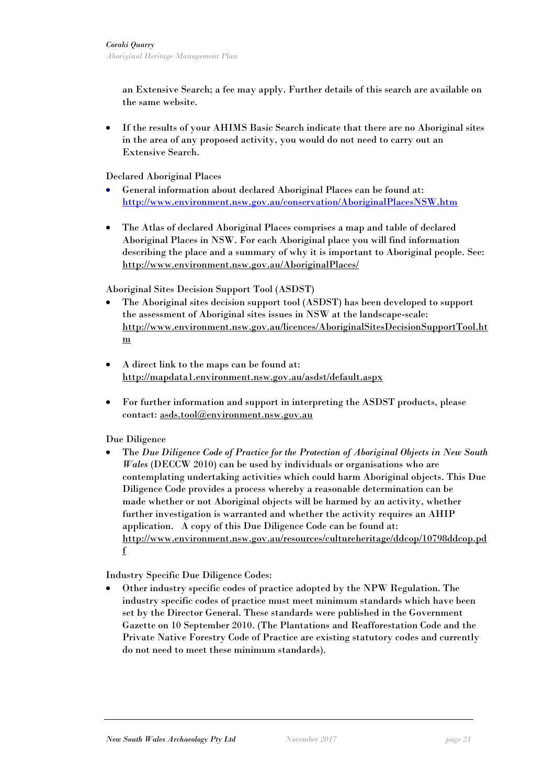an Extensive Search; a fee may apply. Further details of this search are available on the same website.

• If the results of your AHIMS Basic Search indicate that there are no Aboriginal sites in the area of any proposed activity, you would do not need to carry out an Extensive Search.

Declared Aboriginal Places

- General information about declared Aboriginal Places can be found at: <http://www.environment.nsw.gov.au/conservation/AboriginalPlacesNSW.htm>
- The Atlas of declared Aboriginal Places comprises a map and table of declared Aboriginal Places in NSW. For each Aboriginal place you will find information describing the place and a summary of why it is important to Aboriginal people. See: <http://www.environment.nsw.gov.au/AboriginalPlaces/>

Aboriginal Sites Decision Support Tool (ASDST)

- The Aboriginal sites decision support tool (ASDST) has been developed to support the assessment of Aboriginal sites issues in NSW at the landscape-scale: [http://www.environment.nsw.gov.au/licences/AboriginalSitesDecisionSupportTool.ht](http://www.environment.nsw.gov.au/licences/AboriginalSitesDecisionSupportTool.htm) [m](http://www.environment.nsw.gov.au/licences/AboriginalSitesDecisionSupportTool.htm)
- A direct link to the maps can be found at: <http://mapdata1.environment.nsw.gov.au/asdst/default.aspx>
- For further information and support in interpreting the ASDST products, please contact: [asds.tool@environment.nsw.gov.au](mailto:asds.tool@environment.nsw.gov.au)

Due Diligence

• The *Due Diligence Code of Practice for the Protection of Aboriginal Objects in New South Wales* (DECCW 2010) can be used by individuals or organisations who are contemplating undertaking activities which could harm Aboriginal objects. This Due Diligence Code provides a process whereby a reasonable determination can be made whether or not Aboriginal objects will be harmed by an activity, whether further investigation is warranted and whether the activity requires an AHIP application. A copy of this Due Diligence Code can be found at: [http://www.environment.nsw.gov.au/resources/cultureheritage/ddcop/10798ddcop.pd](http://www.environment.nsw.gov.au/resources/cultureheritage/ddcop/10798ddcop.pdf) [f](http://www.environment.nsw.gov.au/resources/cultureheritage/ddcop/10798ddcop.pdf)

Industry Specific Due Diligence Codes:

• Other industry specific codes of practice adopted by the NPW Regulation. The industry specific codes of practice must meet minimum standards which have been set by the Director General. These standards were published in the Government Gazette on 10 September 2010. (The Plantations and Reafforestation Code and the Private Native Forestry Code of Practice are existing statutory codes and currently do not need to meet these minimum standards).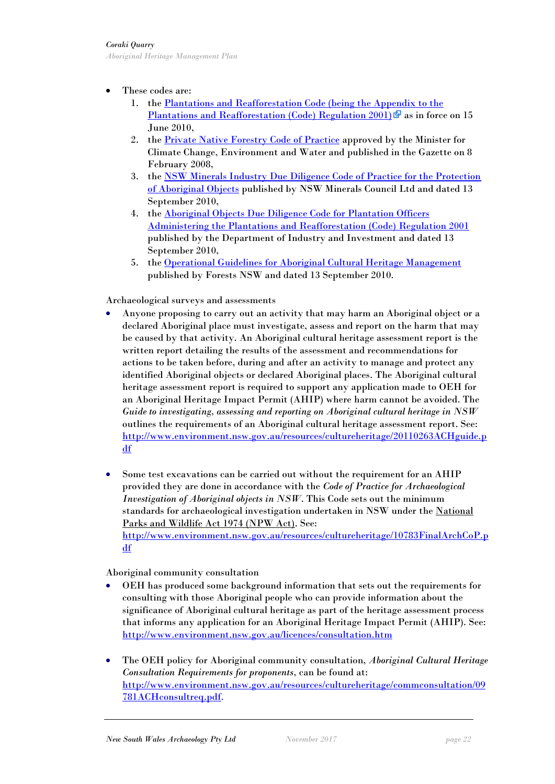### These codes are:

- 1. the Plantations and Reafforestation Code (being the Appendix to the **[Plantations and Reafforestation \(Code\) Regulation 2001\)](http://www.legislation.nsw.gov.au/maintop/view/inforce/subordleg+974+2001+cd+0+N)**  $\mathbb{F}$  as in force on 15 June 2010,
- 2. the [Private Native Forestry Code of Practice](http://www.environment.nsw.gov.au/pnf/index.htm#code) approved by the Minister for Climate Change, Environment and Water and published in the Gazette on 8 February 2008,
- 3. the [NSW Minerals Industry Due Diligence Code of Practice for the Protection](http://www.environment.nsw.gov.au/resources/cultureheritage/ddcop/ddcop-minco.pdf)  [of Aboriginal Objects](http://www.environment.nsw.gov.au/resources/cultureheritage/ddcop/ddcop-minco.pdf) published by NSW Minerals Council Ltd and dated 13 September 2010,
- 4. the [Aboriginal Objects Due Diligence Code for Plantation Officers](http://www.environment.nsw.gov.au/resources/cultureheritage/ddcop/ddcop-DII.pdf)  Administering the Plantations [and Reafforestation \(Code\) Regulation 2001](http://www.environment.nsw.gov.au/resources/cultureheritage/ddcop/ddcop-DII.pdf) published by the Department of Industry and Investment and dated 13 September 2010,
- 5. the [Operational Guidelines for Aboriginal Cultural Heritage Management](http://www.environment.nsw.gov.au/resources/cultureheritage/ddcop/ddcop-ForestsNSW.pdf) published by Forests NSW and dated 13 September 2010.

Archaeological surveys and assessments

- Anyone proposing to carry out an activity that may harm an Aboriginal object or a declared Aboriginal place must investigate, assess and report on the harm that may be caused by that activity. An Aboriginal cultural heritage assessment report is the written report detailing the results of the assessment and recommendations for actions to be taken before, during and after an activity to manage and protect any identified Aboriginal objects or declared Aboriginal places. The Aboriginal cultural heritage assessment report is required to support any application made to OEH for an Aboriginal Heritage Impact Permit (AHIP) where harm cannot be avoided. The *Guide to investigating, assessing and reporting on Aboriginal cultural heritage in NSW* outlines the requirements of an Aboriginal cultural heritage assessment report. See: [http://www.environment.nsw.gov.au/resources/cultureheritage/20110263ACHguide.p](http://www.environment.nsw.gov.au/resources/cultureheritage/20110263ACHguide.pdf) [df](http://www.environment.nsw.gov.au/resources/cultureheritage/20110263ACHguide.pdf)
- Some test excavations can be carried out without the requirement for an AHIP provided they are done in accordance with the *Code of Practice for Archaeological Investigation of Aboriginal objects in NSW*. This Code sets out the minimum standards for archaeological investigation undertaken in NSW under the National Parks and Wildlife Act 1974 (NPW Act). See: [http://www.environment.nsw.gov.au/resources/cultureheritage/10783FinalArchCoP.p](http://www.environment.nsw.gov.au/resources/cultureheritage/10783FinalArchCoP.pdf) [df](http://www.environment.nsw.gov.au/resources/cultureheritage/10783FinalArchCoP.pdf)

Aboriginal community consultation

- OEH has produced some background information that sets out the requirements for consulting with those Aboriginal people who can provide information about the significance of Aboriginal cultural heritage as part of the heritage assessment process that informs any application for an Aboriginal Heritage Impact Permit (AHIP). See: <http://www.environment.nsw.gov.au/licences/consultation.htm>
- The OEH policy for Aboriginal community consultation, *Aboriginal Cultural Heritage Consultation Requirements for proponents*, can be found at: [http://www.environment.nsw.gov.au/resources/cultureheritage/commconsultation/09](http://www.environment.nsw.gov.au/resources/cultureheritage/commconsultation/09781ACHconsultreq.pdf) [781ACHconsultreq.pdf.](http://www.environment.nsw.gov.au/resources/cultureheritage/commconsultation/09781ACHconsultreq.pdf)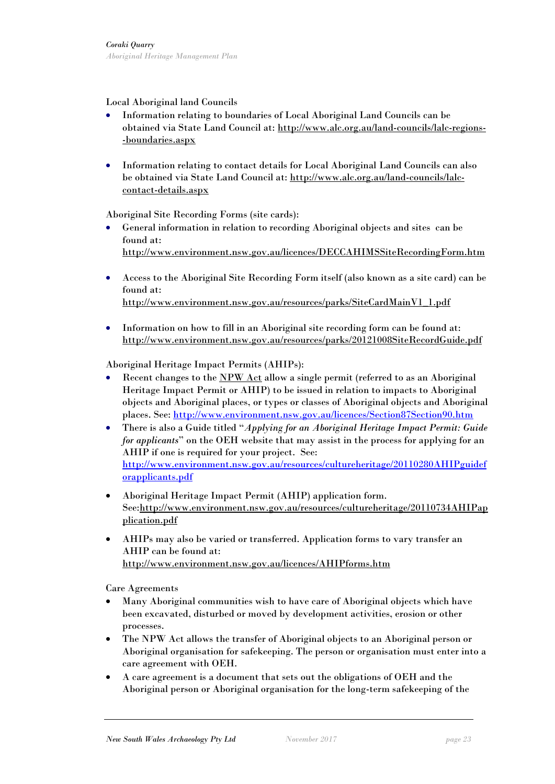Local Aboriginal land Councils

- Information relating to boundaries of Local Aboriginal Land Councils can be obtained via State Land Council at[: http://www.alc.org.au/land-councils/lalc-regions-](http://www.alc.org.au/land-councils/lalc-regions--boundaries.aspx) [-boundaries.aspx](http://www.alc.org.au/land-councils/lalc-regions--boundaries.aspx)
- Information relating to contact details for Local Aboriginal Land Councils can also be obtained via State Land Council at: [http://www.alc.org.au/land-councils/lalc](http://www.alc.org.au/land-councils/lalc-contact-details.aspx)[contact-details.aspx](http://www.alc.org.au/land-councils/lalc-contact-details.aspx)

Aboriginal Site Recording Forms (site cards):

- General information in relation to recording Aboriginal objects and sites can be found at: <http://www.environment.nsw.gov.au/licences/DECCAHIMSSiteRecordingForm.htm>
- Access to the Aboriginal Site Recording Form itself (also known as a site card) can be found at: [http://www.environment.nsw.gov.au/resources/parks/SiteCardMainV1\\_1.pdf](http://www.environment.nsw.gov.au/resources/parks/SiteCardMainV1_1.pdf)
- Information on how to fill in an Aboriginal site recording form can be found at: <http://www.environment.nsw.gov.au/resources/parks/20121008SiteRecordGuide.pdf>

Aboriginal Heritage Impact Permits (AHIPs):

- Recent changes to the NPW Act allow a single permit (referred to as an Aboriginal Heritage Impact Permit or AHIP) to be issued in relation to impacts to Aboriginal objects and Aboriginal places, or types or classes of Aboriginal objects and Aboriginal places. See:<http://www.environment.nsw.gov.au/licences/Section87Section90.htm>
- There is also a Guide titled "*Applying for an Aboriginal Heritage Impact Permit: Guide for applicants*" on the OEH website that may assist in the process for applying for an AHIP if one is required for your project. See: [http://www.environment.nsw.gov.au/resources/cultureheritage/20110280AHIPguidef](http://www.environment.nsw.gov.au/resources/cultureheritage/20110280AHIPguideforapplicants.pdf) [orapplicants.pdf](http://www.environment.nsw.gov.au/resources/cultureheritage/20110280AHIPguideforapplicants.pdf)
- Aboriginal Heritage Impact Permit (AHIP) application form. See[:http://www.environment.nsw.gov.au/resources/cultureheritage/20110734AHIPap](http://www.environment.nsw.gov.au/resources/cultureheritage/20110734AHIPapplication.pdf) [plication.pdf](http://www.environment.nsw.gov.au/resources/cultureheritage/20110734AHIPapplication.pdf)
- AHIPs may also be varied or transferred. Application forms to vary transfer an AHIP can be found at: <http://www.environment.nsw.gov.au/licences/AHIPforms.htm>

Care Agreements

- Many Aboriginal communities wish to have care of Aboriginal objects which have been excavated, disturbed or moved by development activities, erosion or other processes.
- The NPW Act allows the transfer of Aboriginal objects to an Aboriginal person or Aboriginal organisation for safekeeping. The person or organisation must enter into a care agreement with OEH.
- A care agreement is a document that sets out the obligations of OEH and the Aboriginal person or Aboriginal organisation for the long-term safekeeping of the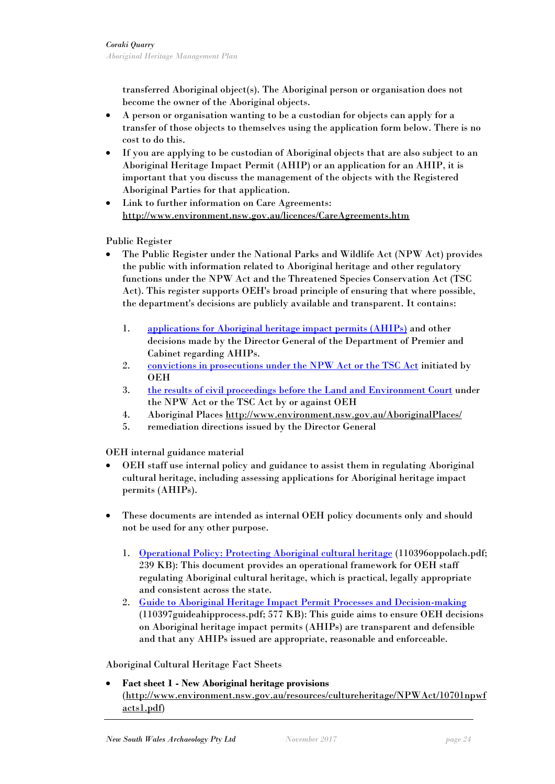transferred Aboriginal object(s). The Aboriginal person or organisation does not become the owner of the Aboriginal objects.

- A person or organisation wanting to be a custodian for objects can apply for a transfer of those objects to themselves using the application form below. There is no cost to do this.
- If you are applying to be custodian of Aboriginal objects that are also subject to an Aboriginal Heritage Impact Permit (AHIP) or an application for an AHIP, it is important that you discuss the management of the objects with the Registered Aboriginal Parties for that application.
- Link to further information on Care Agreements: <http://www.environment.nsw.gov.au/licences/CareAgreements.htm>

Public Register

- The Public Register under the National Parks and Wildlife Act (NPW Act) provides the public with information related to Aboriginal heritage and other regulatory functions under the NPW Act and the Threatened Species Conservation Act (TSC Act). This register supports OEH's broad principle of ensuring that where possible, the department's decisions are publicly available and transparent. It contains:
	- 1. [applications for Aboriginal heritage impact permits \(AHIPs\)](http://www.environment.nsw.gov.au/licences/ahipregister.htm) and other decisions made by the Director General of the Department of Premier and Cabinet regarding AHIPs.
	- 2. [convictions in prosecutions under the NPW Act or the TSC Act](http://www.environment.nsw.gov.au/prpoeoapp/) initiated by OEH
	- 3. [the results of civil proceedings before the Land and Environment Court](http://www.environment.nsw.gov.au/prpoeoapp/searchcases.aspx) under the NPW Act or the TSC Act by or against OEH
	- 4. Aboriginal Places <http://www.environment.nsw.gov.au/AboriginalPlaces/>
	- 5. remediation directions issued by the Director General

OEH internal guidance material

- OEH staff use internal policy and guidance to assist them in regulating Aboriginal cultural heritage, including assessing applications for Aboriginal heritage impact permits (AHIPs).
- These documents are intended as internal OEH policy documents only and should not be used for any other purpose.
	- 1. [Operational Policy: Protecting Aboriginal cultural heritage](http://www.environment.nsw.gov.au/resources/cultureheritage/110396oppolach.pdf) (110396oppolach.pdf; 239 KB): This document provides an operational framework for OEH staff regulating Aboriginal cultural heritage, which is practical, legally appropriate and consistent across the state.
	- 2. [Guide to Aboriginal Heritage Impact Permit Processes and Decision-making](http://www.environment.nsw.gov.au/resources/cultureheritage/110397guideahipprocess.pdf) (110397guideahipprocess.pdf; 577 KB): This guide aims to ensure OEH decisions on Aboriginal heritage impact permits (AHIPs) are transparent and defensible and that any AHIPs issued are appropriate, reasonable and enforceable.

#### Aboriginal Cultural Heritage Fact Sheets

• **Fact sheet 1 - New Aboriginal heritage provisions** [\(http://www.environment.nsw.gov.au/resources/cultureheritage/NPWAct/10701npwf](http://www.environment.nsw.gov.au/resources/cultureheritage/NPWAct/10701npwfacts1.pdf) [acts1.pdf\)](http://www.environment.nsw.gov.au/resources/cultureheritage/NPWAct/10701npwfacts1.pdf)